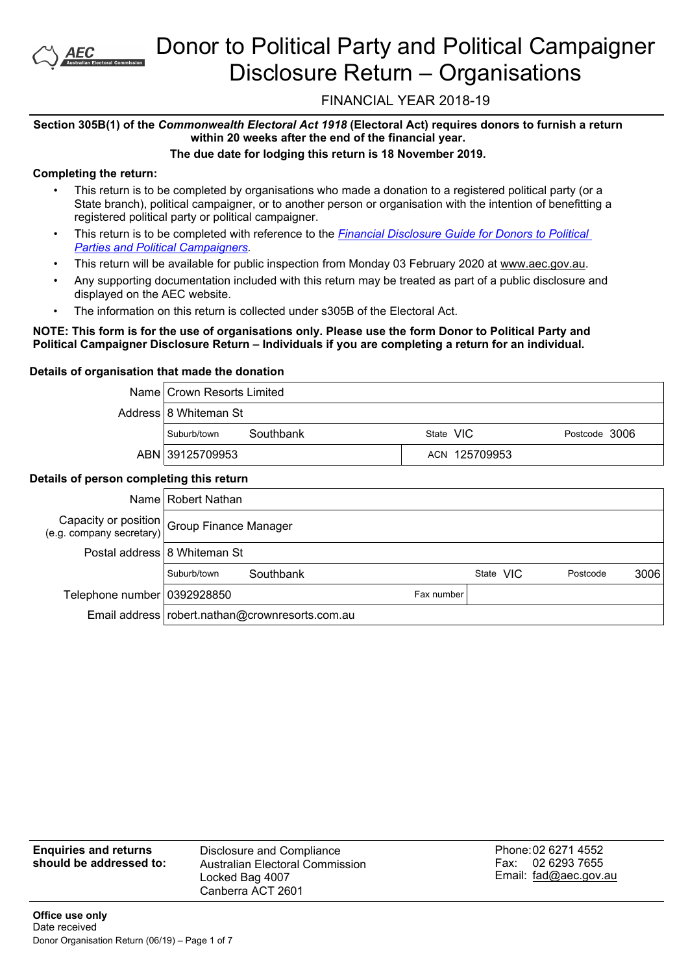

# Donor to Political Party and Political Campaigner Disclosure Return – Organisations

# FINANCIAL YEAR 2018-19

# **Section 305B(1) of the** *Commonwealth Electoral Act 1918* **(Electoral Act) requires donors to furnish a return within 20 weeks after the end of the financial year.**

# **The due date for lodging this return is 18 November 2019.**

# **Completing the return:**

- This return is to be completed by organisations who made a donation to a registered political party (or a State branch), political campaigner, or to another person or organisation with the intention of benefitting a registered political party or political campaigner.
- This return is to be completed with reference to the *[Financial](https://www.aec.gov.au/Parties_and_Representatives/financial_disclosure/guides/donors/index.htm) [Disclosure](https://www.aec.gov.au/Parties_and_Representatives/financial_disclosure/guides/donors/index.htm) [Guide](https://www.aec.gov.au/Parties_and_Representatives/financial_disclosure/guides/donors/index.htm) [for](https://www.aec.gov.au/Parties_and_Representatives/financial_disclosure/guides/donors/index.htm) [Donors](https://www.aec.gov.au/Parties_and_Representatives/financial_disclosure/guides/donors/index.htm) [to](https://www.aec.gov.au/Parties_and_Representatives/financial_disclosure/guides/donors/index.htm) [Political](https://www.aec.gov.au/Parties_and_Representatives/financial_disclosure/guides/donors/index.htm) [Parties](https://www.aec.gov.au/Parties_and_Representatives/financial_disclosure/guides/donors/index.htm) [and](https://www.aec.gov.au/Parties_and_Representatives/financial_disclosure/guides/donors/index.htm) [Political](https://www.aec.gov.au/Parties_and_Representatives/financial_disclosure/guides/donors/index.htm) [Campaigners](https://www.aec.gov.au/Parties_and_Representatives/financial_disclosure/guides/donors/index.htm).*
- This return will be available for public inspection from Monday 03 February 2020 at www.aec.gov.au.
- Any supporting documentation included with this return may be treated as part of a public disclosure and displayed on the AEC website.
- The information on this return is collected under s305B of the Electoral Act.

### NOTE: This form is for the use of organisations only. Please use the form Donor to Political Party and **Political Campaigner Disclosure Return – Individuals if you are completing a return for an individual.**

### **Details of organisation that made the donation**

| Name   Crown Resorts Limited |               |               |
|------------------------------|---------------|---------------|
| Address 8 Whiteman St        |               |               |
| Southbank<br>Suburb/town     | State VIC     | Postcode 3006 |
| ABN 39125709953              | ACN 125709953 |               |

# **Details of person completing this return**

|                                                                                              | Name   Robert Nathan         |                                                   |            |           |          |      |
|----------------------------------------------------------------------------------------------|------------------------------|---------------------------------------------------|------------|-----------|----------|------|
| Capacity or position Group Finance Manager<br>(e.g. company secretary) Group Finance Manager |                              |                                                   |            |           |          |      |
|                                                                                              | Postal address 8 Whiteman St |                                                   |            |           |          |      |
|                                                                                              | Suburb/town                  | Southbank                                         |            | State VIC | Postcode | 3006 |
| Telephone number   0392928850                                                                |                              |                                                   | Fax number |           |          |      |
|                                                                                              |                              | Email address   robert.nathan@crownresorts.com.au |            |           |          |      |

| <b>Enquiries and returns</b> | Disclosure and Compliance                          | Phone: 02 6271 4552                           |
|------------------------------|----------------------------------------------------|-----------------------------------------------|
| should be addressed to:      | Australian Electoral Commission<br>Locked Bag 4007 | 02 6293 7655<br>Fax:<br>Email: fad@aec.gov.au |
|                              | Canberra ACT 2601                                  |                                               |

**Certification**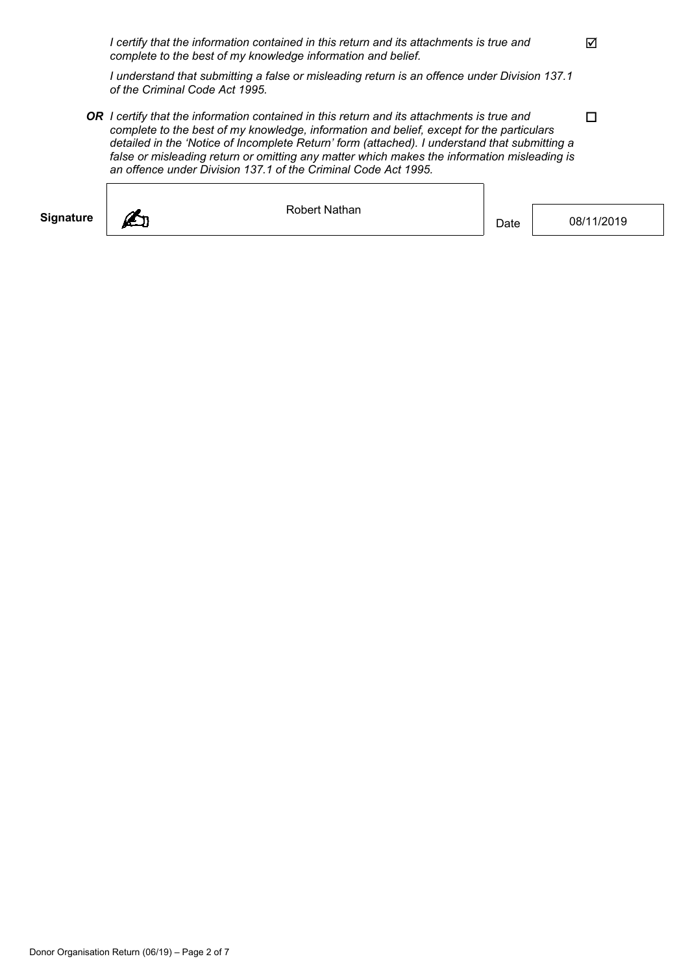*I certify that the information contained in this return and its attachments is true and complete to the best of my knowledge information and belief.*

*I understand that submitting a false or misleading return is an offence under Division 137.1 of the Criminal Code Act 1995.*

*OR I certify that the information contained in this return and its attachments is true and complete to the best of my knowledge, information and belief, except for the particulars detailed in the 'Notice of Incomplete Return' form (attached). I understand that submitting a false or misleading return or omitting any matter which makes the information misleading is an offence under Division 137.1 of the Criminal Code Act 1995.*

| <b>Signature</b> | Robert Nathan | Date | 08/11/2019 |
|------------------|---------------|------|------------|
|                  |               |      |            |

 $\Delta$ 

 $\Box$ 

٦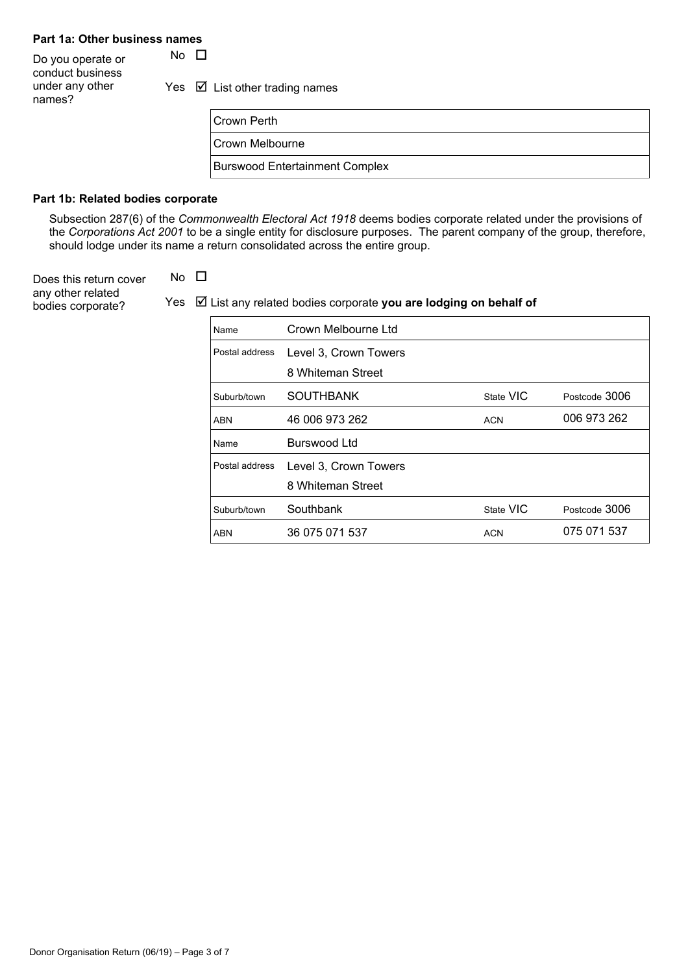# **Part 1a: Other business names**

Do you operate or  $\Box$ conduct business under any other names?

Yes  $\boxtimes$  List other trading names

| Crown Perth                           |
|---------------------------------------|
| Crown Melbourne                       |
| <b>Burswood Entertainment Complex</b> |

#### **Part 1b: Related bodies corporate**

Subsection 287(6) of the *Commonwealth Electoral Act 1918* deems bodies corporate related under the provisions of the *Corporations Act 2001* to be a single entity for disclosure purposes. The parent company of the group, therefore, should lodge under its name a return consolidated across the entire group.

Does this return cover  $\Box$ any other related

**bodies corporate?** Yes  $\boxtimes$  List any related bodies corporate **you are lodging on behalf of** 

| Name           | Crown Melbourne Ltd   |            |               |
|----------------|-----------------------|------------|---------------|
| Postal address | Level 3, Crown Towers |            |               |
|                | 8 Whiteman Street     |            |               |
| Suburb/town    | <b>SOUTHBANK</b>      | State VIC  | Postcode 3006 |
| <b>ABN</b>     | 46 006 973 262        | <b>ACN</b> | 006 973 262   |
| Name           | Burswood Ltd          |            |               |
| Postal address | Level 3, Crown Towers |            |               |
|                | 8 Whiteman Street     |            |               |
| Suburb/town    | Southbank             | State VIC  | Postcode 3006 |
|                |                       |            |               |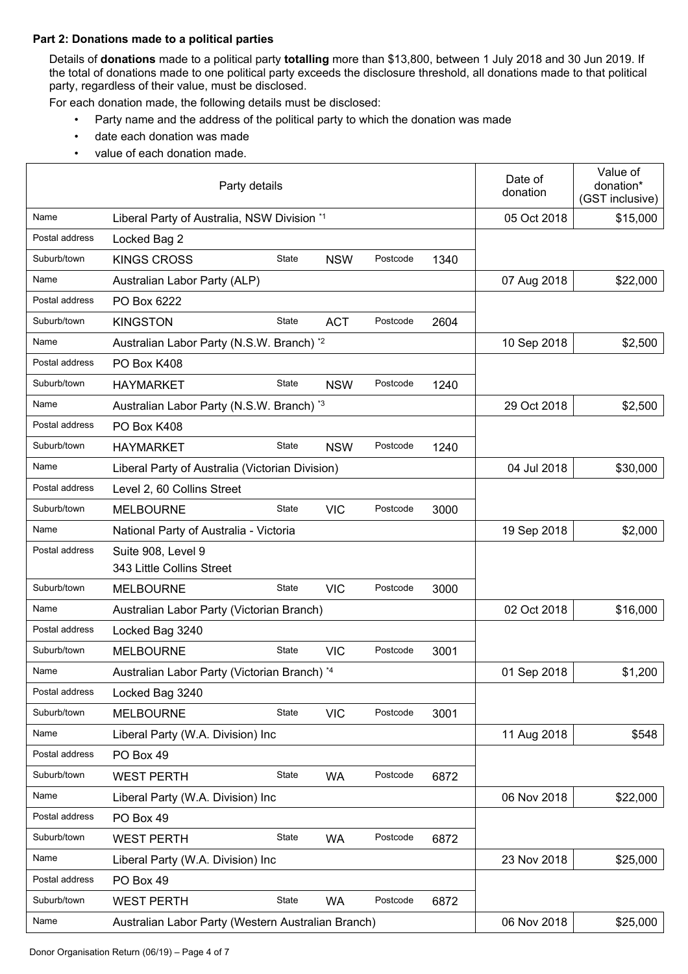#### **Part 2: Donations made to a political parties**

Details of **donations** made to a political party **totalling** more than \$13,800, between 1 July 2018 and 30 Jun 2019. If the total of donations made to one political party exceeds the disclosure threshold, all donations made to that political party, regardless of their value, must be disclosed.

For each donation made, the following details must be disclosed:

- Party name and the address of the political party to which the donation was made
- date each donation was made
- value of each donation made.

|                | Party details                                                 | Date of<br>donation | Value of<br>donation*<br>(GST inclusive) |
|----------------|---------------------------------------------------------------|---------------------|------------------------------------------|
| Name           | Liberal Party of Australia, NSW Division *1                   | 05 Oct 2018         | \$15,000                                 |
| Postal address | Locked Bag 2                                                  |                     |                                          |
| Suburb/town    | State<br>Postcode<br><b>KINGS CROSS</b><br><b>NSW</b><br>1340 |                     |                                          |
| Name           | Australian Labor Party (ALP)                                  | 07 Aug 2018         | \$22,000                                 |
| Postal address | PO Box 6222                                                   |                     |                                          |
| Suburb/town    | State<br>Postcode<br><b>KINGSTON</b><br><b>ACT</b><br>2604    |                     |                                          |
| Name           | Australian Labor Party (N.S.W. Branch) *2                     | 10 Sep 2018         | \$2,500                                  |
| Postal address | PO Box K408                                                   |                     |                                          |
| Suburb/town    | State<br>Postcode<br><b>HAYMARKET</b><br><b>NSW</b><br>1240   |                     |                                          |
| Name           | Australian Labor Party (N.S.W. Branch) *3                     | 29 Oct 2018         | \$2,500                                  |
| Postal address | PO Box K408                                                   |                     |                                          |
| Suburb/town    | State<br>Postcode<br><b>HAYMARKET</b><br><b>NSW</b><br>1240   |                     |                                          |
| Name           | Liberal Party of Australia (Victorian Division)               | 04 Jul 2018         | \$30,000                                 |
| Postal address | Level 2, 60 Collins Street                                    |                     |                                          |
| Suburb/town    | State<br><b>VIC</b><br>Postcode<br><b>MELBOURNE</b><br>3000   |                     |                                          |
| Name           | National Party of Australia - Victoria                        | 19 Sep 2018         | \$2,000                                  |
| Postal address | Suite 908, Level 9<br>343 Little Collins Street               |                     |                                          |
| Suburb/town    | State<br><b>VIC</b><br>Postcode<br><b>MELBOURNE</b><br>3000   |                     |                                          |
| Name           | Australian Labor Party (Victorian Branch)                     | 02 Oct 2018         | \$16,000                                 |
| Postal address | Locked Bag 3240                                               |                     |                                          |
| Suburb/town    | State<br>Postcode<br><b>MELBOURNE</b><br><b>VIC</b><br>3001   |                     |                                          |
| Name           | Australian Labor Party (Victorian Branch) *4                  | 01 Sep 2018         | \$1,200                                  |
| Postal address | Locked Bag 3240                                               |                     |                                          |
| Suburb/town    | State<br>Postcode<br><b>VIC</b><br><b>MELBOURNE</b><br>3001   |                     |                                          |
| Name           | Liberal Party (W.A. Division) Inc                             | 11 Aug 2018         | \$548                                    |
| Postal address | PO Box 49                                                     |                     |                                          |
| Suburb/town    | State<br>Postcode<br><b>WEST PERTH</b><br><b>WA</b><br>6872   |                     |                                          |
| Name           | Liberal Party (W.A. Division) Inc                             | 06 Nov 2018         | \$22,000                                 |
| Postal address | PO Box 49                                                     |                     |                                          |
| Suburb/town    | State<br>Postcode<br><b>WEST PERTH</b><br><b>WA</b><br>6872   |                     |                                          |
| Name           | Liberal Party (W.A. Division) Inc                             | 23 Nov 2018         | \$25,000                                 |
| Postal address | PO Box 49                                                     |                     |                                          |
| Suburb/town    | State<br>Postcode<br><b>WEST PERTH</b><br><b>WA</b><br>6872   |                     |                                          |
| Name           | Australian Labor Party (Western Australian Branch)            | 06 Nov 2018         | \$25,000                                 |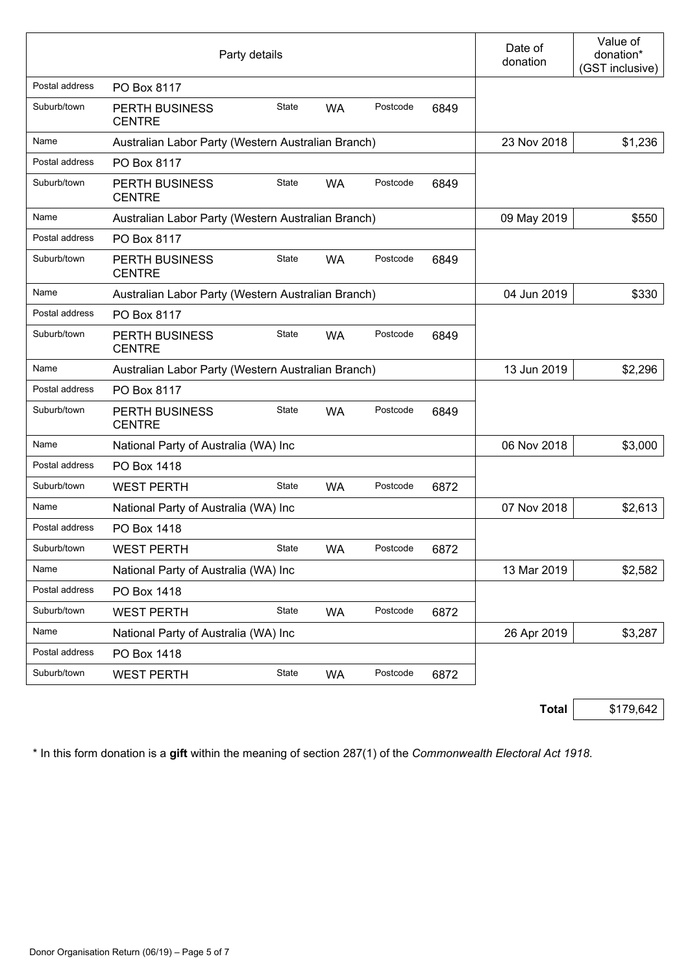|                | Party details                                      |       |           |          |      | Date of<br>donation | Value of<br>donation*<br>(GST inclusive) |
|----------------|----------------------------------------------------|-------|-----------|----------|------|---------------------|------------------------------------------|
| Postal address | PO Box 8117                                        |       |           |          |      |                     |                                          |
| Suburb/town    | <b>PERTH BUSINESS</b><br><b>CENTRE</b>             | State | <b>WA</b> | Postcode | 6849 |                     |                                          |
| Name           | Australian Labor Party (Western Australian Branch) |       |           |          |      | 23 Nov 2018         | \$1,236                                  |
| Postal address | PO Box 8117                                        |       |           |          |      |                     |                                          |
| Suburb/town    | PERTH BUSINESS<br><b>CENTRE</b>                    | State | <b>WA</b> | Postcode | 6849 |                     |                                          |
| Name           | Australian Labor Party (Western Australian Branch) |       |           |          |      | 09 May 2019         | \$550                                    |
| Postal address | PO Box 8117                                        |       |           |          |      |                     |                                          |
| Suburb/town    | <b>PERTH BUSINESS</b><br><b>CENTRE</b>             | State | <b>WA</b> | Postcode | 6849 |                     |                                          |
| Name           | Australian Labor Party (Western Australian Branch) |       |           |          |      | 04 Jun 2019         | \$330                                    |
| Postal address | PO Box 8117                                        |       |           |          |      |                     |                                          |
| Suburb/town    | <b>PERTH BUSINESS</b><br><b>CENTRE</b>             | State | <b>WA</b> | Postcode | 6849 |                     |                                          |
| Name           | Australian Labor Party (Western Australian Branch) |       |           |          |      | 13 Jun 2019         | \$2,296                                  |
| Postal address | PO Box 8117                                        |       |           |          |      |                     |                                          |
| Suburb/town    | PERTH BUSINESS<br><b>CENTRE</b>                    | State | <b>WA</b> | Postcode | 6849 |                     |                                          |
| Name           | National Party of Australia (WA) Inc               |       |           |          |      | 06 Nov 2018         | \$3,000                                  |
| Postal address | PO Box 1418                                        |       |           |          |      |                     |                                          |
| Suburb/town    | <b>WEST PERTH</b>                                  | State | <b>WA</b> | Postcode | 6872 |                     |                                          |
| Name           | National Party of Australia (WA) Inc               |       |           |          |      | 07 Nov 2018         | \$2,613                                  |
| Postal address | PO Box 1418                                        |       |           |          |      |                     |                                          |
| Suburb/town    | <b>WEST PERTH</b>                                  | State | WA        | Postcode | 6872 |                     |                                          |
| Name           | National Party of Australia (WA) Inc               |       |           |          |      | 13 Mar 2019         | \$2,582                                  |
| Postal address | PO Box 1418                                        |       |           |          |      |                     |                                          |
| Suburb/town    | <b>WEST PERTH</b>                                  | State | <b>WA</b> | Postcode | 6872 |                     |                                          |
| Name           | National Party of Australia (WA) Inc               |       |           |          |      | 26 Apr 2019         | \$3,287                                  |
| Postal address | PO Box 1418                                        |       |           |          |      |                     |                                          |
| Suburb/town    | <b>WEST PERTH</b>                                  | State | <b>WA</b> | Postcode | 6872 |                     |                                          |

**Total** \$179,642

\* In this form donation is a **gift** within the meaning of section 287(1) of the *Commonwealth Electoral Act 1918*.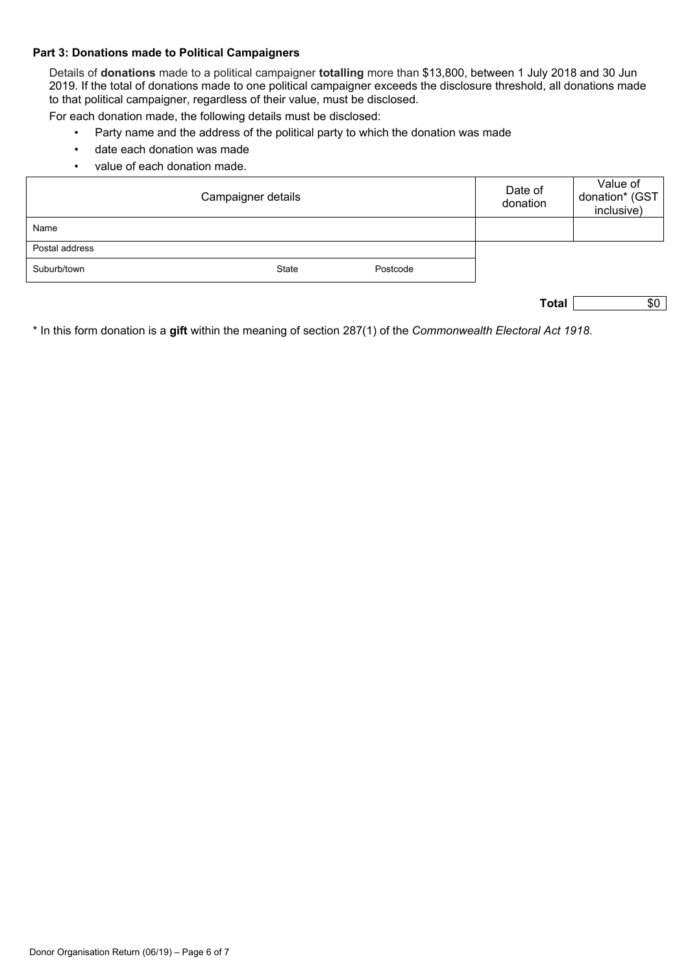#### **Part 3: Donations made to Political Campaigners**

Details of **donations** made to a political campaigner **totalling** more than \$13,800, between 1 July 2018 and 30 Jun 2019. If the total of donations made to one political campaigner exceeds the disclosure threshold, all donations made to that political campaigner, regardless of their value, must be disclosed.

For each donation made, the following details must be disclosed:

- Party name and the address of the political party to which the donation was made
- date each donation was made
- value of each donation made.

|                | Date of<br>donation | Value of<br>donation* (GST<br>inclusive) |  |  |
|----------------|---------------------|------------------------------------------|--|--|
| Name           |                     |                                          |  |  |
| Postal address |                     |                                          |  |  |
| Suburb/town    | State               | Postcode                                 |  |  |

| w |  |  |
|---|--|--|
|---|--|--|

\* In this form donation is a **gift** within the meaning of section 287(1) of the *Commonwealth Electoral Act 1918*.